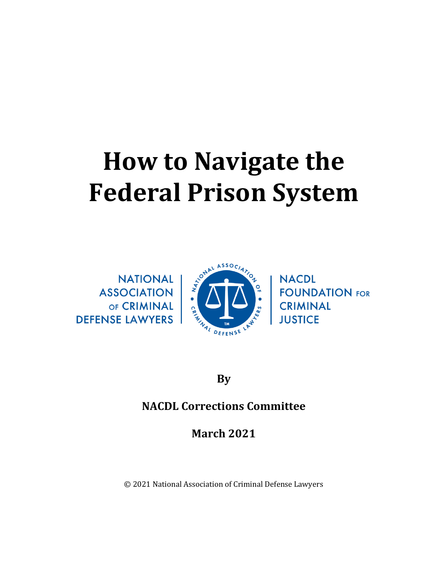# **How to Navigate the Federal Prison System**



**By**

# **NACDL Corrections Committee**

**March 2021**

© 2021 National Association of Criminal Defense Lawyers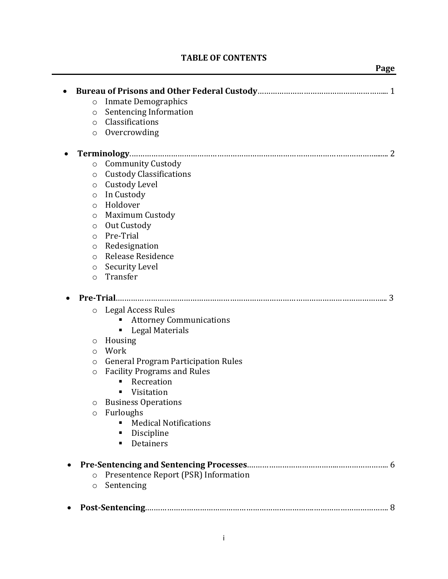# **TABLE OF CONTENTS**

#### *Page*

| $\circ$ | <b>Inmate Demographics</b>                 |
|---------|--------------------------------------------|
| $\circ$ | Sentencing Information                     |
| $\circ$ | Classifications                            |
| $\circ$ | Overcrowding                               |
|         |                                            |
| $\circ$ | <b>Community Custody</b>                   |
| $\circ$ | <b>Custody Classifications</b>             |
| $\circ$ | Custody Level                              |
| $\circ$ | In Custody                                 |
| $\circ$ | Holdover                                   |
| $\circ$ | <b>Maximum Custody</b>                     |
| $\circ$ | Out Custody                                |
| $\circ$ | Pre-Trial                                  |
| $\circ$ | Redesignation                              |
| $\circ$ | Release Residence                          |
| $\circ$ | Security Level                             |
| $\circ$ | Transfer                                   |
|         | Pre-Trial<br>3                             |
| $\circ$ | <b>Legal Access Rules</b>                  |
|         | <b>Attorney Communications</b>             |
|         | <b>Legal Materials</b><br>٠                |
| O       | Housing                                    |
| $\circ$ | Work                                       |
| $\circ$ | <b>General Program Participation Rules</b> |
| $\circ$ | <b>Facility Programs and Rules</b>         |
|         | Recreation<br>п                            |
|         | Visitation<br>٠                            |
| O       | <b>Business Operations</b>                 |
| $\circ$ | Furloughs                                  |
|         | <b>Medical Notifications</b><br>٠          |
|         | Discipline<br>п                            |
|         | Detainers<br>п                             |
|         |                                            |
| $\circ$ | Presentence Report (PSR) Information       |
| $\circ$ | Sentencing                                 |
|         |                                            |
|         |                                            |
|         |                                            |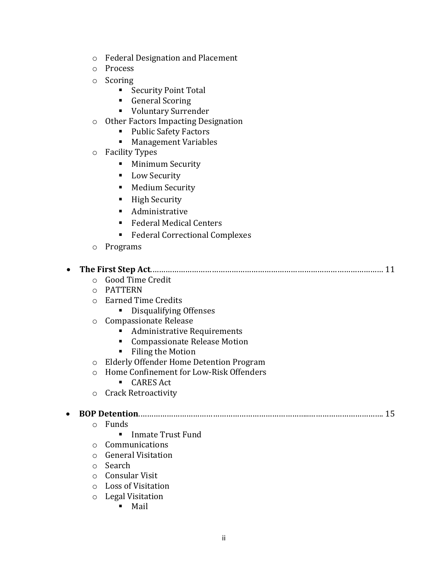- o Federal Designation and Placement
- o Process
- o Scoring
	- Security Point Total
	- General Scoring
	- Voluntary Surrender
- o Other Factors Impacting Designation
	- Public Safety Factors
	- Management Variables
- o Facility Types
	- **■** Minimum Security
	- Low Security
	- Medium Security
	- High Security
	- Administrative
	- Federal Medical Centers
	- Federal Correctional Complexes
- o Programs

|  | ○ Good Time Credit |  |
|--|--------------------|--|

- o PATTERN
- o Earned Time Credits
	- Disqualifying Offenses
- o Compassionate Release
	- Administrative Requirements
	- Compassionate Release Motion
	- Filing the Motion
- o Elderly Offender Home Detention Program
- o Home Confinement for Low-Risk Offenders
	- CARES Act
- o Crack Retroactivity

#### • **BOP Detention**.…………………………………………………………………..……………………………. 15

- o Funds
	- Inmate Trust Fund
- o Communications
- o General Visitation
- o Search
- o Consular Visit
- o Loss of Visitation
- o Legal Visitation
	- Mail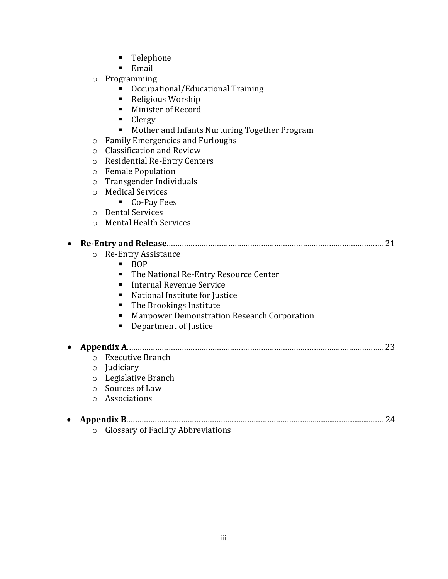- Telephone
- Email
- o Programming
	- Occupational/Educational Training
	- Religious Worship
	- Minister of Record
	- Clergy
	- Mother and Infants Nurturing Together Program
- o Family Emergencies and Furloughs
- o Classification and Review
- o Residential Re-Entry Centers
- o Female Population
- o Transgender Individuals
- o Medical Services
	- Co-Pay Fees
- o Dental Services
- o Mental Health Services

| 21                                                 |
|----------------------------------------------------|
| Re-Entry Assistance<br>$\circ$                     |
| <b>BOP</b>                                         |
| The National Re-Entry Resource Center<br>٠         |
| Internal Revenue Service<br>$\blacksquare$         |
| National Institute for Justice                     |
| The Brookings Institute                            |
| <b>Manpower Demonstration Research Corporation</b> |
| Department of Justice                              |
|                                                    |
| 23                                                 |
| <b>Executive Branch</b><br>$\bigcap$               |
| Judiciary<br>$\circ$                               |
| Legislative Branch<br>$\circ$                      |
| Sources of Law                                     |
| Associations<br>$\bigcirc$                         |
|                                                    |
| 24                                                 |
| <b>Glossary of Facility Abbreviations</b>          |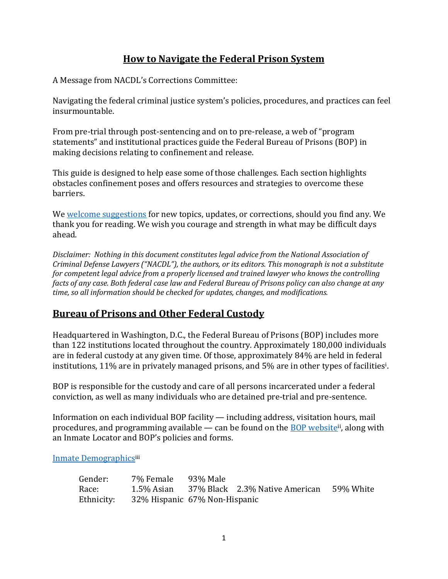# **How to Navigate the Federal Prison System**

A Message from NACDL's Corrections Committee:

Navigating the federal criminal justice system's policies, procedures, and practices can feel insurmountable.

From pre-trial through post-sentencing and on to pre-release, a web of "program statements" and institutional practices guide the Federal Bureau of Prisons (BOP) in making decisions relating to confinement and release.

This guide is designed to help ease some of those challenges. Each section highlights obstacles confinement poses and offers resources and strategies to overcome these barriers.

We [welcome suggestions](https://www.nacdl.org/Content/Attorney-Client-Communication-Feedback) for new topics, updates, or corrections, should you find any. We thank you for reading. We wish you courage and strength in what may be difficult days ahead.

*Disclaimer: Nothing in this document constitutes legal advice from the National Association of Criminal Defense Lawyers ("NACDL"), the authors, or its editors. This monograph is not a substitute for competent legal advice from a properly licensed and trained lawyer who knows the controlling facts of any case. Both federal case law and Federal Bureau of Prisons policy can also change at any time, so all information should be checked for updates, changes, and modifications.* 

# **Bureau of Prisons and Other Federal Custody**

Headquartered in Washington, D.C., the Federal Bureau of Prisons (BOP) includes more than 122 institutions located throughout the country. Approximately 180,000 individuals are in federal custody at any given time. Of those, approximately 84% are held in federal institutions, 11% are in privately managed prisons, and 5% are in other types of facilities<sup>i</sup>.

BOP is responsible for the custody and care of all persons incarcerated under a federal conviction, as well as many individuals who are detained pre-trial and pre-sentence.

Information on each individual BOP facility — including address, visitation hours, mail procedures, and programming available — can be found on the **BOP website**<sup>ii</sup>, along with an Inmate Locator and BOP's policies and forms.

[Inmate Demographics](http://www.bop.gov/about/statistics/statistics_inmate_age.jsp)iii

| Gender:    | 7% Female                     | 93% Male |                                |           |
|------------|-------------------------------|----------|--------------------------------|-----------|
| Race:      | 1.5% Asian                    |          | 37% Black 2.3% Native American | 59% White |
| Ethnicity: | 32% Hispanic 67% Non-Hispanic |          |                                |           |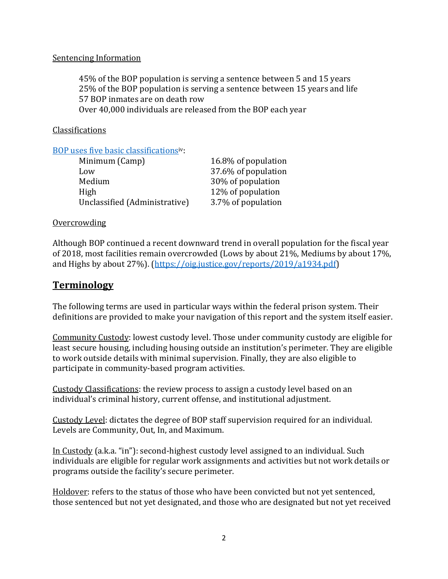#### Sentencing Information

45% of the BOP population is serving a sentence between 5 and 15 years 25% of the BOP population is serving a sentence between 15 years and life 57 BOP inmates are on death row Over 40,000 individuals are released from the BOP each year

**Classifications** 

[BOP uses five basic classifications](http://www.bop.gov/about/statistics/statistics_inmate_sec_levels.jsp)iv:

| Minimum (Camp)                | 16.8% of population |
|-------------------------------|---------------------|
| Low                           | 37.6% of population |
| Medium                        | 30% of population   |
| High                          | 12% of population   |
| Unclassified (Administrative) | 3.7% of population  |

#### Overcrowding

Although BOP continued a recent downward trend in overall population for the fiscal year of 2018, most facilities remain overcrowded (Lows by about 21%, Mediums by about 17%, and Highs by about 27%). [\(https://oig.justice.gov/reports/2019/a1934.pdf\)](https://oig.justice.gov/reports/2019/a1934.pdf)

# **Terminology**

The following terms are used in particular ways within the federal prison system. Their definitions are provided to make your navigation of this report and the system itself easier.

Community Custody: lowest custody level. Those under community custody are eligible for least secure housing, including housing outside an institution's perimeter. They are eligible to work outside details with minimal supervision. Finally, they are also eligible to participate in community-based program activities.

Custody Classifications: the review process to assign a custody level based on an individual's criminal history, current offense, and institutional adjustment.

Custody Level: dictates the degree of BOP staff supervision required for an individual. Levels are Community, Out, In, and Maximum.

In Custody (a.k.a. "in"): second-highest custody level assigned to an individual. Such individuals are eligible for regular work assignments and activities but not work details or programs outside the facility's secure perimeter.

Holdover: refers to the status of those who have been convicted but not yet sentenced, those sentenced but not yet designated, and those who are designated but not yet received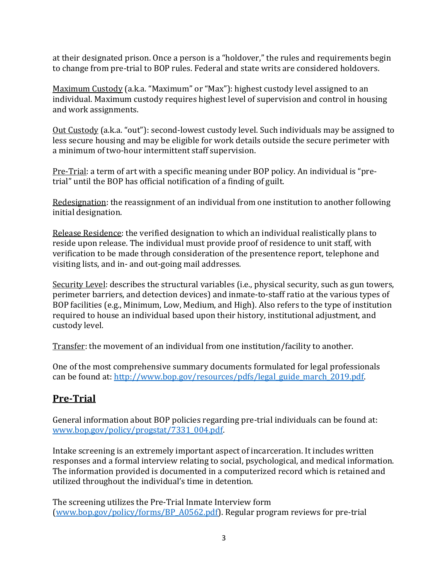at their designated prison. Once a person is a "holdover," the rules and requirements begin to change from pre-trial to BOP rules. Federal and state writs are considered holdovers.

Maximum Custody (a.k.a. "Maximum" or "Max"): highest custody level assigned to an individual. Maximum custody requires highest level of supervision and control in housing and work assignments.

Out Custody (a.k.a. "out"): second-lowest custody level. Such individuals may be assigned to less secure housing and may be eligible for work details outside the secure perimeter with a minimum of two-hour intermittent staff supervision.

Pre-Trial: a term of art with a specific meaning under BOP policy. An individual is "pretrial" until the BOP has official notification of a finding of guilt.

Redesignation: the reassignment of an individual from one institution to another following initial designation.

Release Residence: the verified designation to which an individual realistically plans to reside upon release. The individual must provide proof of residence to unit staff, with verification to be made through consideration of the presentence report, telephone and visiting lists, and in- and out-going mail addresses.

Security Level: describes the structural variables (i.e., physical security, such as gun towers, perimeter barriers, and detection devices) and inmate-to-staff ratio at the various types of BOP facilities (e.g., Minimum, Low, Medium, and High). Also refers to the type of institution required to house an individual based upon their history, institutional adjustment, and custody level.

Transfer: the movement of an individual from one institution/facility to another.

One of the most comprehensive summary documents formulated for legal professionals can be found at: [http://www.bop.gov/resources/pdfs/legal\\_guide\\_march\\_2019.pdf.](http://www.bop.gov/resources/pdfs/legal_guide_march_2019.pdf)

# **Pre-Trial**

General information about BOP policies regarding pre-trial individuals can be found at: [www.bop.gov/policy/progstat/7331\\_004.pdf.](http://www.bop.gov/policy/progstat/7331_004.pdf)

Intake screening is an extremely important aspect of incarceration. It includes written responses and a formal interview relating to social, psychological, and medical information. The information provided is documented in a computerized record which is retained and utilized throughout the individual's time in detention.

The screening utilizes the Pre-Trial Inmate Interview form [\(www.bop.gov/policy/forms/BP\\_A0562.pdf\)](http://www.bop.gov/policy/forms/BP_A0562.pdf). Regular program reviews for pre-trial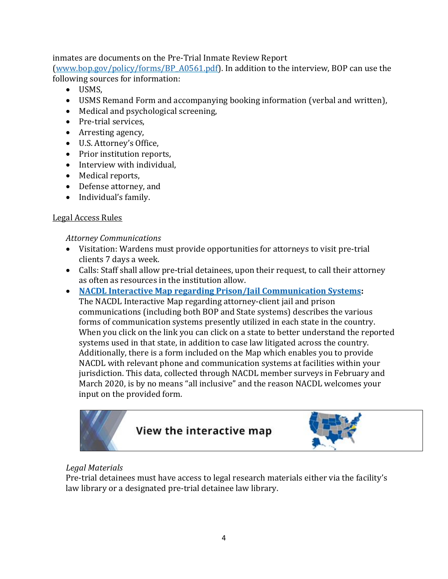inmates are documents on the Pre-Trial Inmate Review Report

[\(www.bop.gov/policy/forms/BP\\_A0561.pdf\)](http://www.bop.gov/policy/forms/BP_A0561.pdf). In addition to the interview, BOP can use the following sources for information:

- USMS,
- USMS Remand Form and accompanying booking information (verbal and written),
- Medical and psychological screening,
- Pre-trial services,
- Arresting agency,
- U.S. Attorney's Office,
- Prior institution reports,
- Interview with individual,
- Medical reports,
- Defense attorney, and
- Individual's family.

#### Legal Access Rules

*Attorney Communications*

- Visitation: Wardens must provide opportunities for attorneys to visit pre-trial clients 7 days a week.
- Calls: Staff shall allow pre-trial detainees, upon their request, to call their attorney as often as resources in the institution allow.
- **[NACDL Interactive Map regarding Prison/Jail Communication Systems:](https://www.nacdl.org/Map/State-of-Prison-Jail-Call-Communication-Systems)** The NACDL Interactive Map regarding attorney-client jail and prison communications (including both BOP and State systems) describes the various forms of communication systems presently utilized in each state in the country. When you click on the link you can click on a state to better understand the reported systems used in that state, in addition to case law litigated across the country. Additionally, there is a form included on the Map which enables you to provide NACDL with relevant phone and communication systems at facilities within your jurisdiction. This data, collected through NACDL member surveys in February and March 2020, is by no means "all inclusive" and the reason NACDL welcomes your input on the provided form.



# *Legal Materials*

Pre-trial detainees must have access to legal research materials either via the facility's law library or a designated pre-trial detainee law library.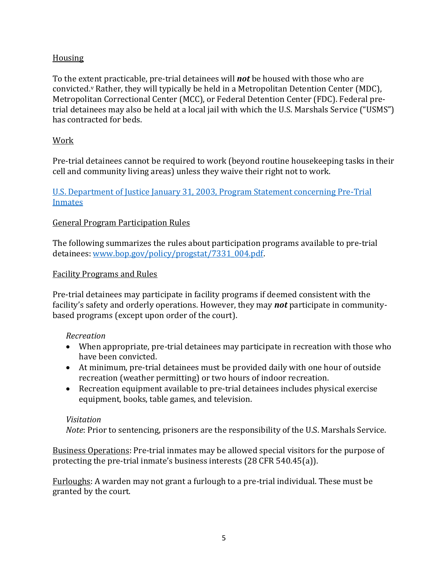# Housing

To the extent practicable, pre-trial detainees will *not* be housed with those who are convicted. <sup>v</sup> Rather, they will typically be held in a Metropolitan Detention Center (MDC), Metropolitan Correctional Center (MCC), or Federal Detention Center (FDC). Federal pretrial detainees may also be held at a local jail with which the U.S. Marshals Service ("USMS") has contracted for beds.

## Work

Pre-trial detainees cannot be required to work (beyond routine housekeeping tasks in their cell and community living areas) unless they waive their right not to work.

# [U.S. Department of Justice January 31, 2003, Program Statement concerning Pre-Trial](http://www.bop.gov/policy/progstat/7331_004.pdf)  [Inmates](http://www.bop.gov/policy/progstat/7331_004.pdf)

# General Program Participation Rules

The following summarizes the rules about participation programs available to pre-trial detainees: [www.bop.gov/policy/progstat/7331\\_004.pdf.](http://www.bop.gov/policy/progstat/7331_004.pdf)

#### Facility Programs and Rules

Pre-trial detainees may participate in facility programs if deemed consistent with the facility's safety and orderly operations. However, they may *not* participate in communitybased programs (except upon order of the court).

#### *Recreation*

- When appropriate, pre-trial detainees may participate in recreation with those who have been convicted.
- At minimum, pre-trial detainees must be provided daily with one hour of outside recreation (weather permitting) or two hours of indoor recreation.
- Recreation equipment available to pre-trial detainees includes physical exercise equipment, books, table games, and television.

#### *Visitation*

*Note*: Prior to sentencing, prisoners are the responsibility of the U.S. Marshals Service.

Business Operations: Pre-trial inmates may be allowed special visitors for the purpose of protecting the pre-trial inmate's business interests (28 CFR 540.45(a)).

Furloughs: A warden may not grant a furlough to a pre-trial individual. These must be granted by the court.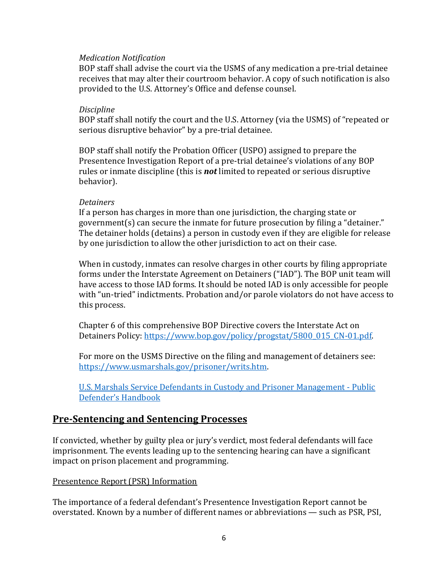#### *Medication Notification*

BOP staff shall advise the court via the USMS of any medication a pre-trial detainee receives that may alter their courtroom behavior. A copy of such notification is also provided to the U.S. Attorney's Office and defense counsel.

#### *Discipline*

BOP staff shall notify the court and the U.S. Attorney (via the USMS) of "repeated or serious disruptive behavior" by a pre-trial detainee.

BOP staff shall notify the Probation Officer (USPO) assigned to prepare the Presentence Investigation Report of a pre-trial detainee's violations of any BOP rules or inmate discipline (this is *not* limited to repeated or serious disruptive behavior).

#### *Detainers*

If a person has charges in more than one jurisdiction, the charging state or government(s) can secure the inmate for future prosecution by filing a "detainer." The detainer holds (detains) a person in custody even if they are eligible for release by one jurisdiction to allow the other jurisdiction to act on their case.

When in custody, inmates can resolve charges in other courts by filing appropriate forms under the Interstate Agreement on Detainers ("IAD"). The BOP unit team will have access to those IAD forms. It should be noted IAD is only accessible for people with "un-tried" indictments. Probation and/or parole violators do not have access to this process.

Chapter 6 of this comprehensive BOP Directive covers the Interstate Act on Detainers Policy: [https://www.bop.gov/policy/progstat/5800\\_015\\_CN-01.pdf.](https://www.bop.gov/policy/progstat/5800_015_CN-01.pdf)

For more on the USMS Directive on the filing and management of detainers see: [https://www.usmarshals.gov/prisoner/writs.htm.](https://www.usmarshals.gov/prisoner/writs.htm)

[U.S. Marshals Service Defendants in Custody and Prisoner Management -](https://www.usmarshals.gov/prisoner/pdhandbook.htm) Public [Defender's Handbook](https://www.usmarshals.gov/prisoner/pdhandbook.htm)

# **Pre-Sentencing and Sentencing Processes**

If convicted, whether by guilty plea or jury's verdict, most federal defendants will face imprisonment. The events leading up to the sentencing hearing can have a significant impact on prison placement and programming.

#### Presentence Report (PSR) Information

The importance of a federal defendant's Presentence Investigation Report cannot be overstated. Known by a number of different names or abbreviations — such as PSR, PSI,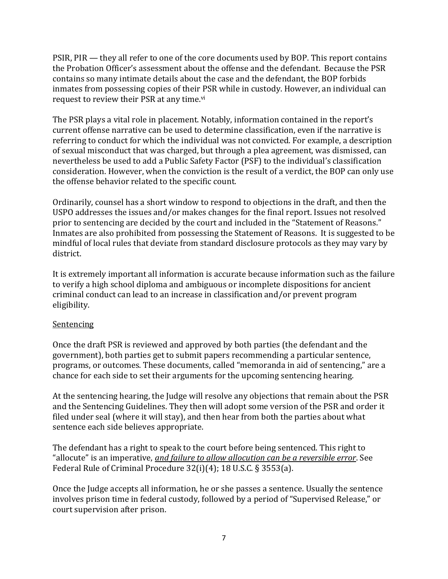PSIR, PIR — they all refer to one of the core documents used by BOP. This report contains the Probation Officer's assessment about the offense and the defendant. Because the PSR contains so many intimate details about the case and the defendant, the BOP forbids inmates from possessing copies of their PSR while in custody. However, an individual can request to review their PSR at any time.vi

The PSR plays a vital role in placement. Notably, information contained in the report's current offense narrative can be used to determine classification, even if the narrative is referring to conduct for which the individual was not convicted. For example, a description of sexual misconduct that was charged, but through a plea agreement, was dismissed, can nevertheless be used to add a Public Safety Factor (PSF) to the individual's classification consideration. However, when the conviction is the result of a verdict, the BOP can only use the offense behavior related to the specific count.

Ordinarily, counsel has a short window to respond to objections in the draft, and then the USPO addresses the issues and/or makes changes for the final report. Issues not resolved prior to sentencing are decided by the court and included in the "Statement of Reasons." Inmates are also prohibited from possessing the Statement of Reasons. It is suggested to be mindful of local rules that deviate from standard disclosure protocols as they may vary by district.

It is extremely important all information is accurate because information such as the failure to verify a high school diploma and ambiguous or incomplete dispositions for ancient criminal conduct can lead to an increase in classification and/or prevent program eligibility.

#### **Sentencing**

Once the draft PSR is reviewed and approved by both parties (the defendant and the government), both parties get to submit papers recommending a particular sentence, programs, or outcomes. These documents, called "memoranda in aid of sentencing," are a chance for each side to set their arguments for the upcoming sentencing hearing.

At the sentencing hearing, the Judge will resolve any objections that remain about the PSR and the Sentencing Guidelines. They then will adopt some version of the PSR and order it filed under seal (where it will stay), and then hear from both the parties about what sentence each side believes appropriate.

The defendant has a right to speak to the court before being sentenced. This right to "allocute" is an imperative, *and failure to allow allocution can be a reversible error*. See Federal Rule of Criminal Procedure 32(i)(4); 18 U.S.C. § 3553(a).

Once the Judge accepts all information, he or she passes a sentence. Usually the sentence involves prison time in federal custody, followed by a period of "Supervised Release," or court supervision after prison.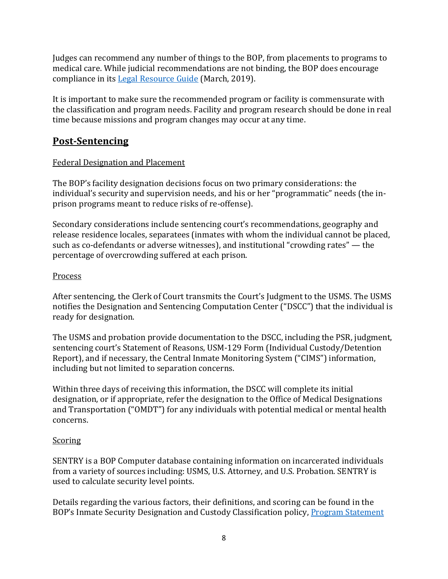Judges can recommend any number of things to the BOP, from placements to programs to medical care. While judicial recommendations are not binding, the BOP does encourage compliance in its [Legal Resource Guide](http://www.bop.gov/resources/pdfs/legal_guide_march_2019.pdf) (March, 2019).

It is important to make sure the recommended program or facility is commensurate with the classification and program needs. Facility and program research should be done in real time because missions and program changes may occur at any time.

# **Post-Sentencing**

# Federal Designation and Placement

The BOP's facility designation decisions focus on two primary considerations: the individual's security and supervision needs, and his or her "programmatic" needs (the inprison programs meant to reduce risks of re-offense).

Secondary considerations include sentencing court's recommendations, geography and release residence locales, separatees (inmates with whom the individual cannot be placed, such as co-defendants or adverse witnesses), and institutional "crowding rates" — the percentage of overcrowding suffered at each prison.

# Process

After sentencing, the Clerk of Court transmits the Court's Judgment to the USMS. The USMS notifies the Designation and Sentencing Computation Center ("DSCC") that the individual is ready for designation.

The USMS and probation provide documentation to the DSCC, including the PSR, judgment, sentencing court's Statement of Reasons, USM-129 Form (Individual Custody/Detention Report), and if necessary, the Central Inmate Monitoring System ("CIMS") information, including but not limited to separation concerns.

Within three days of receiving this information, the DSCC will complete its initial designation, or if appropriate, refer the designation to the Office of Medical Designations and Transportation ("OMDT") for any individuals with potential medical or mental health concerns.

# Scoring

SENTRY is a BOP Computer database containing information on incarcerated individuals from a variety of sources including: USMS, U.S. Attorney, and U.S. Probation. SENTRY is used to calculate security level points.

Details regarding the various factors, their definitions, and scoring can be found in the BOP's Inmate Security Designation and Custody Classification policy, [Program Statement](https://www.bop.gov/policy/progstat/5100_008cn.pdf)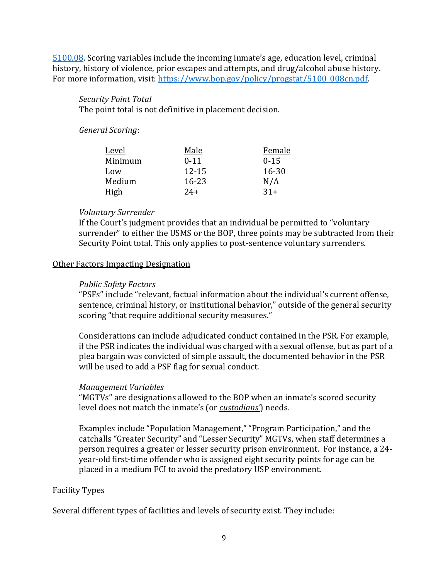[5100.08](https://www.bop.gov/policy/progstat/5100_008cn.pdf). Scoring variables include the incoming inmate's age, education level, criminal history, history of violence, prior escapes and attempts, and drug/alcohol abuse history. For more information, visit: [https://www.bop.gov/policy/progstat/5100\\_008cn.pdf.](https://www.bop.gov/policy/progstat/5100_008cn.pdf)

## *Security Point Total*

The point total is not definitive in placement decision.

*General Scoring*:

| <u>Level</u> | Male      | Female    |
|--------------|-----------|-----------|
| Minimum      | $0 - 11$  | $0 - 15$  |
| Low          | $12 - 15$ | $16 - 30$ |
| Medium       | 16-23     | N/A       |
| High         | $24+$     | $31+$     |

## *Voluntary Surrender*

If the Court's judgment provides that an individual be permitted to "voluntary surrender" to either the USMS or the BOP, three points may be subtracted from their Security Point total. This only applies to post-sentence voluntary surrenders.

#### Other Factors Impacting Designation

#### *Public Safety Factors*

"PSFs" include "relevant, factual information about the individual's current offense, sentence, criminal history, or institutional behavior," outside of the general security scoring "that require additional security measures."

Considerations can include adjudicated conduct contained in the PSR. For example, if the PSR indicates the individual was charged with a sexual offense, but as part of a plea bargain was convicted of simple assault, the documented behavior in the PSR will be used to add a PSF flag for sexual conduct.

#### *Management Variables*

"MGTVs" are designations allowed to the BOP when an inmate's scored security level does not match the inmate's (or *custodians'*) needs.

Examples include "Population Management," "Program Participation," and the catchalls "Greater Security" and "Lesser Security" MGTVs, when staff determines a person requires a greater or lesser security prison environment. For instance, a 24 year-old first-time offender who is assigned eight security points for age can be placed in a medium FCI to avoid the predatory USP environment.

#### Facility Types

Several different types of facilities and levels of security exist. They include: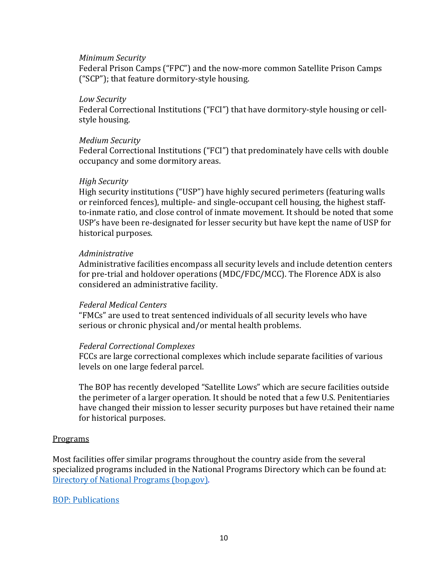#### *Minimum Security*

Federal Prison Camps ("FPC") and the now-more common Satellite Prison Camps ("SCP"); that feature dormitory-style housing.

#### *Low Security*

Federal Correctional Institutions ("FCI") that have dormitory-style housing or cellstyle housing.

#### *Medium Security*

Federal Correctional Institutions ("FCI") that predominately have cells with double occupancy and some dormitory areas.

#### *High Security*

High security institutions ("USP") have highly secured perimeters (featuring walls or reinforced fences), multiple- and single-occupant cell housing, the highest staffto-inmate ratio, and close control of inmate movement. It should be noted that some USP's have been re-designated for lesser security but have kept the name of USP for historical purposes.

#### *Administrative*

Administrative facilities encompass all security levels and include detention centers for pre-trial and holdover operations (MDC/FDC/MCC). The Florence ADX is also considered an administrative facility.

#### *Federal Medical Centers*

"FMCs" are used to treat sentenced individuals of all security levels who have serious or chronic physical and/or mental health problems.

#### *Federal Correctional Complexes*

FCCs are large correctional complexes which include separate facilities of various levels on one large federal parcel.

The BOP has recently developed "Satellite Lows" which are secure facilities outside the perimeter of a larger operation. It should be noted that a few U.S. Penitentiaries have changed their mission to lesser security purposes but have retained their name for historical purposes.

#### Programs

Most facilities offer similar programs throughout the country aside from the several specialized programs included in the National Programs Directory which can be found at: [Directory of National Programs \(bop.gov\).](https://www.bop.gov/inmates/custody_and_care/docs/20170913_Directory_of_National_Programs1.pdf)

#### [BOP: Publications](https://www.bop.gov/resources/publications.jsp)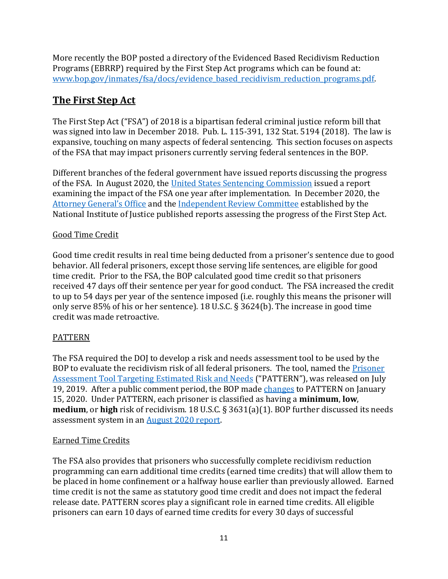More recently the BOP posted a directory of the Evidenced Based Recidivism Reduction Programs (EBRRP) required by the First Step Act programs which can be found at: [www.bop.gov/inmates/fsa/docs/evidence\\_based\\_recidivism\\_reduction\\_programs.pdf.](http://www.bop.gov/inmates/fsa/docs/evidence_based_recidivism_reduction_programs.pdf)

# **The First Step Act**

The First Step Act ("FSA") of 2018 is a bipartisan federal criminal justice reform bill that was signed into law in December 2018. Pub. L. 115-391, 132 Stat. 5194 (2018). The law is expansive, touching on many aspects of federal sentencing. This section focuses on aspects of the FSA that may impact prisoners currently serving federal sentences in the BOP.

Different branches of the federal government have issued reports discussing the progress of the FSA. In August 2020, the [United States Sentencing Commission](https://www.ussc.gov/research/research-reports/first-step-act-2018-one-year-implementation) issued a report examining the impact of the FSA one year after implementation. In December 2020, the [Attorney General's Office](https://www.bop.gov/inmates/fsa/docs/20201221_fsa_section_3634_report.pdf) and th[e Independent Review Committee](https://firststepact-irc.org/wp-content/uploads/2020/12/IRC-FSA-Title-I-Section-107g-Report-12-21-20.pdf) established by the National Institute of Justice published reports assessing the progress of the First Step Act.

# Good Time Credit

Good time credit results in real time being deducted from a prisoner's sentence due to good behavior. All federal prisoners, except those serving life sentences, are eligible for good time credit. Prior to the FSA, the BOP calculated good time credit so that prisoners received 47 days off their sentence per year for good conduct. The FSA increased the credit to up to 54 days per year of the sentence imposed (i.e. roughly this means the prisoner will only serve 85% of his or her sentence). 18 U.S.C. § 3624(b). The increase in good time credit was made retroactive.

# PATTERN

The FSA required the DOJ to develop a risk and needs assessment tool to be used by the BOP to evaluate the recidivism risk of all federal prisoners. The tool, named the [Prisoner](https://nij.ojp.gov/sites/g/files/xyckuh171/files/media/document/the-first-step-act-of-2018-risk-and-needs-assessment-system-updated.pdf)  [Assessment Tool Targeting Estimated Risk and Needs](https://nij.ojp.gov/sites/g/files/xyckuh171/files/media/document/the-first-step-act-of-2018-risk-and-needs-assessment-system-updated.pdf) ("PATTERN"), was released on July 19, 2019. After a public comment period, the BOP made [changes](https://nij.ojp.gov/sites/g/files/xyckuh171/files/media/document/the-first-step-act-of-2018-risk-and-needs-assessment-system-updated.pdf) to PATTERN on January 15, 2020. Under PATTERN, each prisoner is classified as having a **minimum**, **low**, **medium**, or **high** risk of recidivism. 18 U.S.C. § 3631(a)(1). BOP further discussed its needs assessment system in an [August 2020 report.](https://www.bop.gov/inmates/fsa/docs/fsa_needs_assessment.pdf)

#### Earned Time Credits

The FSA also provides that prisoners who successfully complete recidivism reduction programming can earn additional time credits (earned time credits) that will allow them to be placed in home confinement or a halfway house earlier than previously allowed. Earned time credit is not the same as statutory good time credit and does not impact the federal release date. PATTERN scores play a significant role in earned time credits. All eligible prisoners can earn 10 days of earned time credits for every 30 days of successful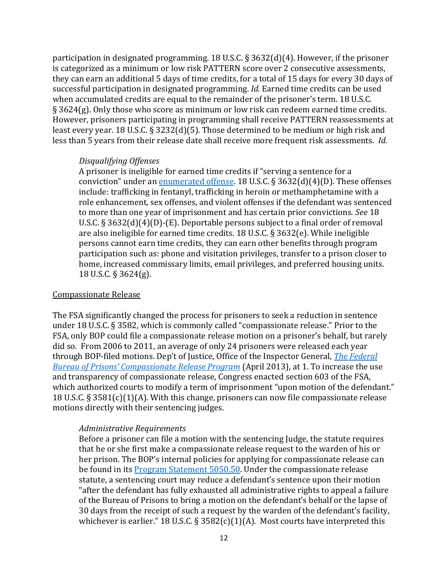participation in designated programming. 18 U.S.C. § 3632(d)(4). However, if the prisoner is categorized as a minimum or low risk PATTERN score over 2 consecutive assessments, they can earn an additional 5 days of time credits, for a total of 15 days for every 30 days of successful participation in designated programming. *Id.* Earned time credits can be used when accumulated credits are equal to the remainder of the prisoner's term. 18 U.S.C. § 3624(g). Only those who score as minimum or low risk can redeem earned time credits. However, prisoners participating in programming shall receive PATTERN reassessments at least every year. 18 U.S.C. § 3232(d)(5). Those determined to be medium or high risk and less than 5 years from their release date shall receive more frequent risk assessments. *Id.*

#### *Disqualifying Offenses*

A prisoner is ineligible for earned time credits if "serving a sentence for a conviction" under an [enumerated offense.](https://www.bop.gov/inmates/fsa/time_credits_disqualifying_offenses.jsp) 18 U.S.C.  $\S 3632(d)(4)(D)$ . These offenses include: trafficking in fentanyl, trafficking in heroin or methamphetamine with a role enhancement, sex offenses, and violent offenses if the defendant was sentenced to more than one year of imprisonment and has certain prior convictions. *See* 18 U.S.C. § 3632(d)(4)(D)-(E). Deportable persons subject to a final order of removal are also ineligible for earned time credits. 18 U.S.C. § 3632(e). While ineligible persons cannot earn time credits, they can earn other benefits through program participation such as: phone and visitation privileges, transfer to a prison closer to home, increased commissary limits, email privileges, and preferred housing units. 18 U.S.C. § 3624(g).

#### Compassionate Release

The FSA significantly changed the process for prisoners to seek a reduction in sentence under 18 U.S.C. § 3582, which is commonly called "compassionate release." Prior to the FSA, only BOP could file a compassionate release motion on a prisoner's behalf, but rarely did so. From 2006 to 2011, an average of only 24 prisoners were released each year through BOP-filed motions. Dep't of Justice, Office of the Inspector General, *[The Federal](https://oig.justice.gov/reports/2013/e1306.pdf)  [Bureau of Prisons' Compassionate Release Program](https://oig.justice.gov/reports/2013/e1306.pdf)* (April 2013), at 1. To increase the use and transparency of compassionate release, Congress enacted section 603 of the FSA, which authorized courts to modify a term of imprisonment "upon motion of the defendant." 18 U.S.C. § 3581(c)(1)(A). With this change, prisoners can now file compassionate release motions directly with their sentencing judges.

#### *Administrative Requirements*

Before a prisoner can file a motion with the sentencing Judge, the statute requires that he or she first make a compassionate release request to the warden of his or her prison. The BOP's internal policies for applying for compassionate release can be found in its **Program Statement 5050.50**. Under the compassionate release statute, a sentencing court may reduce a defendant's sentence upon their motion "after the defendant has fully exhausted all administrative rights to appeal a failure of the Bureau of Prisons to bring a motion on the defendant's behalf or the lapse of 30 days from the receipt of such a request by the warden of the defendant's facility, whichever is earlier." 18 U.S.C. § 3582(c)(1)(A). Most courts have interpreted this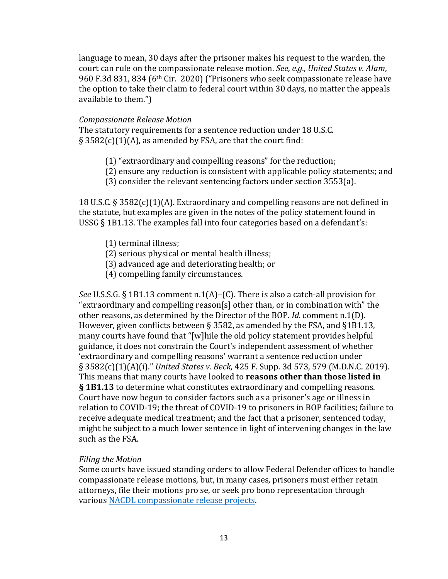language to mean, 30 days after the prisoner makes his request to the warden, the court can rule on the compassionate release motion. *See, e.g., United States v. Alam*, 960 F.3d 831, 834 (6th Cir. 2020) ("Prisoners who seek compassionate release have the option to take their claim to federal court within 30 days, no matter the appeals available to them.")

#### *Compassionate Release Motion*

The statutory requirements for a sentence reduction under 18 U.S.C.  $\S$  3582(c)(1)(A), as amended by FSA, are that the court find:

- (1) "extraordinary and compelling reasons" for the reduction;
- (2) ensure any reduction is consistent with applicable policy statements; and
- (3) consider the relevant sentencing factors under section 3553(a).

18 U.S.C. § 3582(c)(1)(A). Extraordinary and compelling reasons are not defined in the statute, but examples are given in the notes of the policy statement found in USSG § 1B1.13. The examples fall into four categories based on a defendant's:

- (1) terminal illness;
- (2) serious physical or mental health illness;
- (3) advanced age and deteriorating health; or
- (4) compelling family circumstances.

*See* U.S.S.G. § 1B1.13 comment n.1(A)–(C). There is also a catch-all provision for "extraordinary and compelling reason[s] other than, or in combination with" the other reasons, as determined by the Director of the BOP. *Id.* comment n.1(D). However, given conflicts between § 3582, as amended by the FSA, and §1B1.13, many courts have found that "[w]hile the old policy statement provides helpful guidance, it does not constrain the Court's independent assessment of whether 'extraordinary and compelling reasons' warrant a sentence reduction under § 3582(c)(1)(A)(i)." *United States v. Beck*, 425 F. Supp. 3d 573, 579 (M.D.N.C. 2019). This means that many courts have looked to **reasons other than those listed in § 1B1.13** to determine what constitutes extraordinary and compelling reasons. Court have now begun to consider factors such as a prisoner's age or illness in relation to COVID-19; the threat of COVID-19 to prisoners in BOP facilities; failure to receive adequate medical treatment; and the fact that a prisoner, sentenced today, might be subject to a much lower sentence in light of intervening changes in the law such as the FSA.

#### *Filing the Motion*

Some courts have issued standing orders to allow Federal Defender offices to handle compassionate release motions, but, in many cases, prisoners must either retain attorneys, file their motions pro se, or seek pro bono representation through various [NACDL compassionate release projects.](https://www.nacdl.org/Landing/ReturntoFreedom)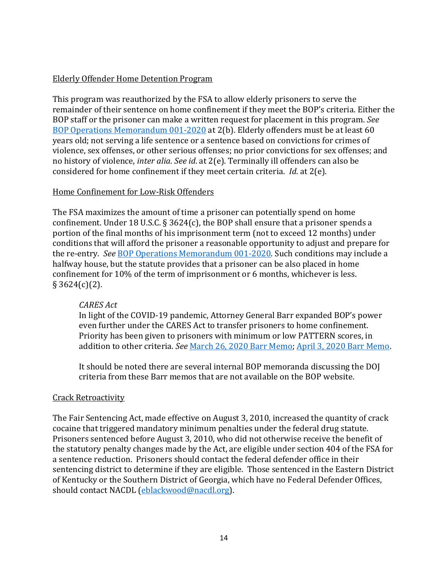## Elderly Offender Home Detention Program

This program was reauthorized by the FSA to allow elderly prisoners to serve the remainder of their sentence on home confinement if they meet the BOP's criteria. Either the BOP staff or the prisoner can make a written request for placement in this program. *See* [BOP Operations Memorandum 001-2020](https://www.bop.gov/policy/om/001-2020.pdf) at 2(b). Elderly offenders must be at least 60 years old; not serving a life sentence or a sentence based on convictions for crimes of violence, sex offenses, or other serious offenses; no prior convictions for sex offenses; and no history of violence, *inter alia*. *See id*. at 2(e). Terminally ill offenders can also be considered for home confinement if they meet certain criteria. *Id*. at 2(e).

#### Home Confinement for Low-Risk Offenders

The FSA maximizes the amount of time a prisoner can potentially spend on home confinement. Under 18 U.S.C. § 3624(c), the BOP shall ensure that a prisoner spends a portion of the final months of his imprisonment term (not to exceed 12 months) under conditions that will afford the prisoner a reasonable opportunity to adjust and prepare for the re-entry. *See* [BOP Operations Memorandum 001-2020.](https://www.bop.gov/policy/om/001-2020.pdf) Such conditions may include a halfway house, but the statute provides that a prisoner can be also placed in home confinement for 10% of the term of imprisonment or 6 months, whichever is less.  $§$  3624(c)(2).

#### *CARES Act*

In light of the COVID-19 pandemic, Attorney General Barr expanded BOP's power even further under the CARES Act to transfer prisoners to home confinement. Priority has been given to prisoners with minimum or low PATTERN scores, in addition to other criteria. *See* [March 26, 2020 Barr Memo;](https://www.bop.gov/coronavirus/docs/bop_memo_home_confinement.pdf) [April 3, 2020 Barr Memo.](https://www.bop.gov/coronavirus/docs/bop_memo_home_confinement_april3.pdf)

It should be noted there are several internal BOP memoranda discussing the DOJ criteria from these Barr memos that are not available on the BOP website.

# Crack Retroactivity

The Fair Sentencing Act, made effective on August 3, 2010, increased the quantity of crack cocaine that triggered mandatory minimum penalties under the federal drug statute. Prisoners sentenced before August 3, 2010, who did not otherwise receive the benefit of the statutory penalty changes made by the Act, are eligible under section 404 of the FSA for a sentence reduction. Prisoners should contact the federal defender office in their sentencing district to determine if they are eligible. Those sentenced in the Eastern District of Kentucky or the Southern District of Georgia, which have no Federal Defender Offices, should contact NACDL [\(eblackwood@nacdl.org\)](mailto:eblackwood@nacdl.org).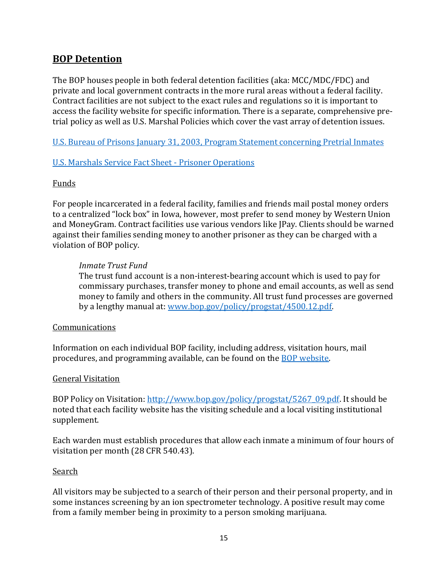# **BOP Detention**

The BOP houses people in both federal detention facilities (aka: MCC/MDC/FDC) and private and local government contracts in the more rural areas without a federal facility. Contract facilities are not subject to the exact rules and regulations so it is important to access the facility website for specific information. There is a separate, comprehensive pretrial policy as well as U.S. Marshal Policies which cover the vast array of detention issues.

[U.S. Bureau of Prisons January 31, 2003, Program Statement concerning Pretrial Inmates](http://www.bop.gov/policy/progstat/7331_004.pdf)

#### [U.S. Marshals Service Fact Sheet -](https://www.usmarshals.gov/duties/factsheets/prisoner_ops.pdf) Prisoner Operation[s](https://www.usmarshals.gov/duties/factsheets/prisoner_ops.pdf)

#### Funds

For people incarcerated in a federal facility, families and friends mail postal money orders to a centralized "lock box" in Iowa, however, most prefer to send money by Western Union and MoneyGram. Contract facilities use various vendors like JPay. Clients should be warned against their families sending money to another prisoner as they can be charged with a violation of BOP policy.

#### *Inmate Trust Fund*

The trust fund account is a non-interest-bearing account which is used to pay for commissary purchases, transfer money to phone and email accounts, as well as send money to family and others in the community. All trust fund processes are governed by a lengthy manual at: [www.bop.gov/policy/progstat/4500.12.pdf.](http://www.bop.gov/policy/progstat/4500.12.pdf)

#### Communications

Information on each individual BOP facility, including address, visitation hours, mail procedures, and programming available, can be found on the [BOP website.](https://www.bop.gov/)

#### General Visitation

BOP Policy on Visitation: [http://www.bop.gov/policy/progstat/5267\\_09.pdf.](http://www.bop.gov/policy/progstat/5267_09.pdf) It should be noted that each facility website has the visiting schedule and a local visiting institutional supplement.

Each warden must establish procedures that allow each inmate a minimum of four hours of visitation per month (28 CFR 540.43).

#### Search

All visitors may be subjected to a search of their person and their personal property, and in some instances screening by an ion spectrometer technology. A positive result may come from a family member being in proximity to a person smoking marijuana.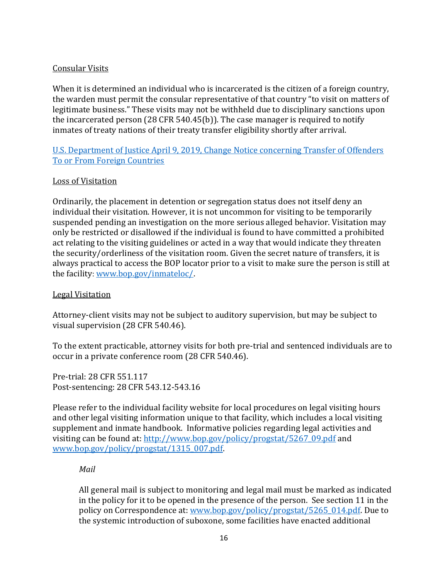## Consular Visits

When it is determined an individual who is incarcerated is the citizen of a foreign country, the warden must permit the consular representative of that country "to visit on matters of legitimate business." These visits may not be withheld due to disciplinary sanctions upon the incarcerated person (28 CFR 540.45(b)). The case manager is required to notify inmates of treaty nations of their treaty transfer eligibility shortly after arrival.

# U.S. Department of Justice April 9, 2019, [Change Notice concerning Transfer of Offenders](http://www.bop.gov/policy/progstat/5140_042_cn-1.pdf)  [To or From Foreign Countries](http://www.bop.gov/policy/progstat/5140_042_cn-1.pdf)

## Loss of Visitation

Ordinarily, the placement in detention or segregation status does not itself deny an individual their visitation. However, it is not uncommon for visiting to be temporarily suspended pending an investigation on the more serious alleged behavior. Visitation may only be restricted or disallowed if the individual is found to have committed a prohibited act relating to the visiting guidelines or acted in a way that would indicate they threaten the security/orderliness of the visitation room. Given the secret nature of transfers, it is always practical to access the BOP locator prior to a visit to make sure the person is still at the facility: [www.bop.gov/inmateloc/.](http://www.bop.gov/inmateloc/)

## Legal Visitation

Attorney-client visits may not be subject to auditory supervision, but may be subject to visual supervision (28 CFR 540.46).

To the extent practicable, attorney visits for both pre-trial and sentenced individuals are to occur in a private conference room (28 CFR 540.46).

Pre-trial: 28 CFR 551.117 Post-sentencing: 28 CFR 543.12-543.16

Please refer to the individual facility website for local procedures on legal visiting hours and other legal visiting information unique to that facility, which includes a local visiting supplement and inmate handbook. Informative policies regarding legal activities and visiting can be found at: [http://www.bop.gov/policy/progstat/5267\\_09.pdf](http://www.bop.gov/policy/progstat/5267_09.pdf) and [www.bop.gov/policy/progstat/1315\\_007.pdf.](http://www.bop.gov/policy/progstat/1315_007.pdf)

#### *Mail*

All general mail is subject to monitoring and legal mail must be marked as indicated in the policy for it to be opened in the presence of the person. See section 11 in the policy on Correspondence at: [www.bop.gov/policy/progstat/5265\\_014.pdf.](http://www.bop.gov/policy/progstat/5265_014.pdf) Due to the systemic introduction of suboxone, some facilities have enacted additional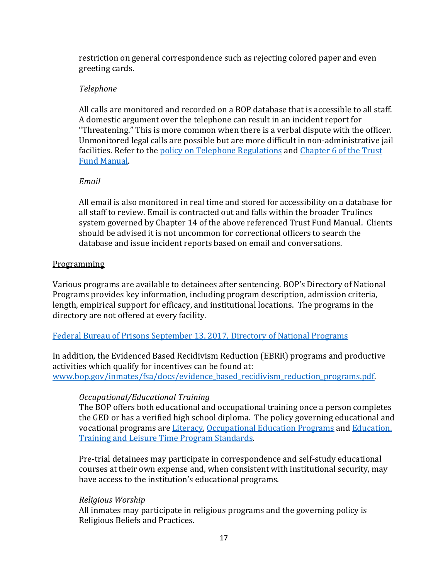restriction on general correspondence such as rejecting colored paper and even greeting cards.

# *Telephone*

All calls are monitored and recorded on a BOP database that is accessible to all staff. A domestic argument over the telephone can result in an incident report for "Threatening." This is more common when there is a verbal dispute with the officer. Unmonitored legal calls are possible but are more difficult in non-administrative jail facilities. Refer to the [policy on Telephone Regulations](https://www.bop.gov/policy/progstat/5264_008.pdf) and [Chapter 6 of the Trust](https://www.bop.gov/policy/progstat/4500_011_CN-1.pdf)  [Fund Manual.](https://www.bop.gov/policy/progstat/4500_011_CN-1.pdf)

## *Email*

All email is also monitored in real time and stored for accessibility on a database for all staff to review. Email is contracted out and falls within the broader Trulincs system governed by Chapter 14 of the above referenced Trust Fund Manual. Clients should be advised it is not uncommon for correctional officers to search the database and issue incident reports based on email and conversations.

#### Programming

Various programs are available to detainees after sentencing. BOP's Directory of National Programs provides key information, including program description, admission criteria, length, empirical support for efficacy, and institutional locations. The programs in the directory are not offered at every facility.

#### Federal Bureau of Prisons September 13, 2017, [Directory of National Programs](https://www.bop.gov/inmates/custody_and_care/docs/20170913_Directory_of_National_Programs1.pdf)

In addition, the Evidenced Based Recidivism Reduction (EBRR) programs and productive activities which qualify for incentives can be found at: [www.bop.gov/inmates/fsa/docs/evidence\\_based\\_recidivism\\_reduction\\_programs.pdf.](http://www.bop.gov/inmates/fsa/docs/evidence_based_recidivism_reduction_programs.pdf)

# *Occupational/Educational Training*

The BOP offers both educational and occupational training once a person completes the GED or has a verified high school diploma. The policy governing educational and vocational programs ar[e Literacy,](http://www.bop.gov/policy/progstat/5350_028.pdf) [Occupational Education Programs](http://www.bop.gov/policy/progstat/5353_001.pdf) and [Education,](http://www.bop.gov/policy/progstat/5300_021.pdf)  [Training and Leisure](http://www.bop.gov/policy/progstat/5300_021.pdf) Time Program Standards.

Pre-trial detainees may participate in correspondence and self-study educational courses at their own expense and, when consistent with institutional security, may have access to the institution's educational programs.

#### *Religious Worship*

All inmates may participate in religious programs and the governing policy is Religious Beliefs and Practices.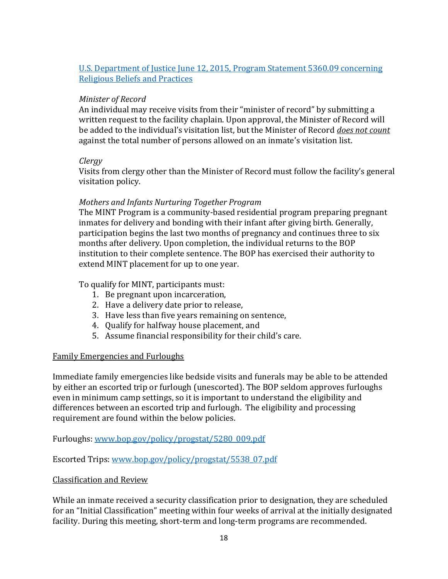# [U.S. Department of Justice June 12, 2015,](https://www.bop.gov/policy/progstat/5360_009_CN-1.pdf) Program Statement 5360.09 concerning [Religious Beliefs and Practices](https://www.bop.gov/policy/progstat/5360_009_CN-1.pdf)

# *Minister of Record*

An individual may receive visits from their "minister of record" by submitting a written request to the facility chaplain. Upon approval, the Minister of Record will be added to the individual's visitation list, but the Minister of Record *does not count* against the total number of persons allowed on an inmate's visitation list.

#### *Clergy*

Visits from clergy other than the Minister of Record must follow the facility's general visitation policy.

#### *Mothers and Infants Nurturing Together Program*

The MINT Program is a community-based residential program preparing pregnant inmates for delivery and bonding with their infant after giving birth. Generally, participation begins the last two months of pregnancy and continues three to six months after delivery. Upon completion, the individual returns to the BOP institution to their complete sentence. The BOP has exercised their authority to extend MINT placement for up to one year.

## To qualify for MINT, participants must:

- 1. Be pregnant upon incarceration,
- 2. Have a delivery date prior to release,
- 3. Have less than five years remaining on sentence,
- 4. Qualify for halfway house placement, and
- 5. Assume financial responsibility for their child's care.

#### Family Emergencies and Furloughs

Immediate family emergencies like bedside visits and funerals may be able to be attended by either an escorted trip or furlough (unescorted). The BOP seldom approves furloughs even in minimum camp settings, so it is important to understand the eligibility and differences between an escorted trip and furlough. The eligibility and processing requirement are found within the below policies.

Furloughs: [www.bop.gov/policy/progstat/5280\\_009.pdf](http://www.bop.gov/policy/progstat/5280_009.pdf) 

Escorted Trips: [www.bop.gov/policy/progstat/5538\\_07.pdf](http://www.bop.gov/policy/progstat/5538_07.pdf) 

#### Classification and Review

While an inmate received a security classification prior to designation, they are scheduled for an "Initial Classification" meeting within four weeks of arrival at the initially designated facility. During this meeting, short-term and long-term programs are recommended.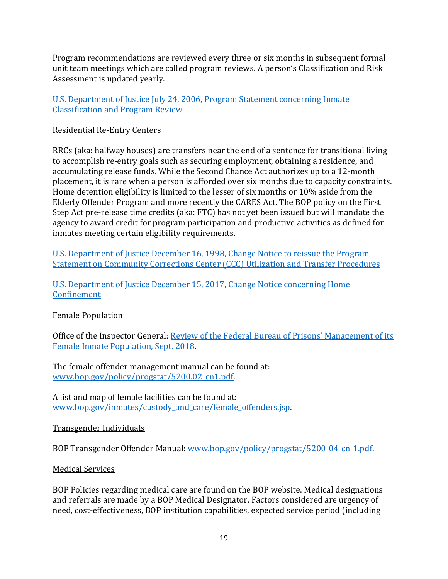Program recommendations are reviewed every three or six months in subsequent formal unit team meetings which are called program reviews. A person's Classification and Risk Assessment is updated yearly.

# [U.S. Department of Justice July 24, 2006, Program Statement concerning Inmate](https://www.bop.gov/policy/progstat/5322_013.pdf)  [Classification and Program Review](https://www.bop.gov/policy/progstat/5322_013.pdf)

# Residential Re-Entry Centers

RRCs (aka: halfway houses) are transfers near the end of a sentence for transitional living to accomplish re-entry goals such as securing employment, obtaining a residence, and accumulating release funds. While the Second Chance Act authorizes up to a 12-month placement, it is rare when a person is afforded over six months due to capacity constraints. Home detention eligibility is limited to the lesser of six months or 10% aside from the Elderly Offender Program and more recently the CARES Act. The BOP policy on the First Step Act pre-release time credits (aka: FTC) has not yet been issued but will mandate the agency to award credit for program participation and productive activities as defined for inmates meeting certain eligibility requirements.

U.S. Department of Justice December 16, [1998, Change Notice to reissue the Program](http://www.bop.gov/policy/progstat/7310_004.pdf)  [Statement on Community Corrections Center \(CCC\) Utilization and Transfer Procedures](http://www.bop.gov/policy/progstat/7310_004.pdf)

[U.S. Department of Justice December 15, 2017, Change Notice concerning Home](http://www.bop.gov/policy/progstat/7320_001_CN-2.pdf)  **[Confinement](http://www.bop.gov/policy/progstat/7320_001_CN-2.pdf)** 

# Female Population

Office of the Inspector General: R[eview of the Federal Bureau of Prisons' Management of its](https://oig.justice.gov/reports/2018/e1805.pdf)  [Female Inmate Population, Sept. 2018.](https://oig.justice.gov/reports/2018/e1805.pdf)

The female offender management manual can be found at: [www.bop.gov/policy/progstat/5200.02\\_cn1.pdf.](http://www.bop.gov/policy/progstat/5200.02_cn1.pdf) 

A list and map of female facilities can be found at: www.bop.gov/inmates/custody and care/female offenders.jsp.

# Transgender Individuals

BOP Transgender Offender Manual: [www.bop.gov/policy/progstat/5200-04-cn-1.pdf.](http://www.bop.gov/policy/progstat/5200-04-cn-1.pdf)

# Medical Services

BOP Policies regarding medical care are found on the BOP website. Medical designations and referrals are made by a BOP Medical Designator. Factors considered are urgency of need, cost-effectiveness, BOP institution capabilities, expected service period (including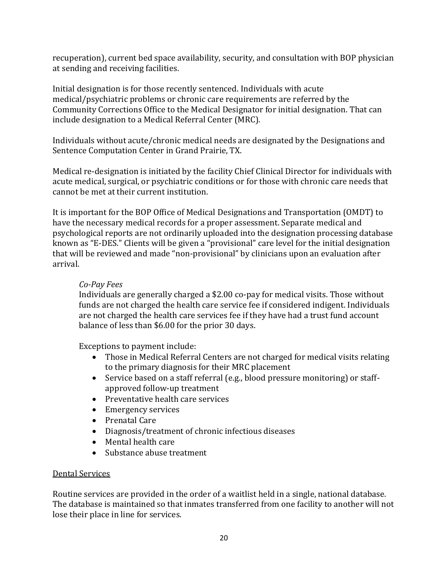recuperation), current bed space availability, security, and consultation with BOP physician at sending and receiving facilities.

Initial designation is for those recently sentenced. Individuals with acute medical/psychiatric problems or chronic care requirements are referred by the Community Corrections Office to the Medical Designator for initial designation. That can include designation to a Medical Referral Center (MRC).

Individuals without acute/chronic medical needs are designated by the Designations and Sentence Computation Center in Grand Prairie, TX.

Medical re-designation is initiated by the facility Chief Clinical Director for individuals with acute medical, surgical, or psychiatric conditions or for those with chronic care needs that cannot be met at their current institution.

It is important for the BOP Office of Medical Designations and Transportation (OMDT) to have the necessary medical records for a proper assessment. Separate medical and psychological reports are not ordinarily uploaded into the designation processing database known as "E-DES." Clients will be given a "provisional" care level for the initial designation that will be reviewed and made "non-provisional" by clinicians upon an evaluation after arrival.

# *Co-Pay Fees*

Individuals are generally charged a \$2.00 co-pay for medical visits. Those without funds are not charged the health care service fee if considered indigent. Individuals are not charged the health care services fee if they have had a trust fund account balance of less than \$6.00 for the prior 30 days.

Exceptions to payment include:

- Those in Medical Referral Centers are not charged for medical visits relating to the primary diagnosis for their MRC placement
- Service based on a staff referral (e.g., blood pressure monitoring) or staffapproved follow-up treatment
- Preventative health care services
- Emergency services
- Prenatal Care
- Diagnosis/treatment of chronic infectious diseases
- Mental health care
- Substance abuse treatment

#### Dental Services

Routine services are provided in the order of a waitlist held in a single, national database. The database is maintained so that inmates transferred from one facility to another will not lose their place in line for services.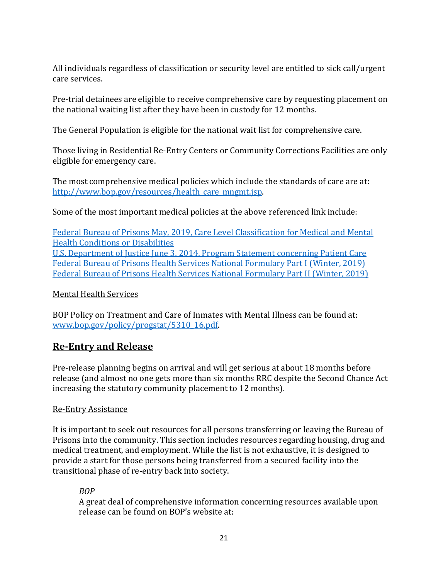All individuals regardless of classification or security level are entitled to sick call/urgent care services.

Pre-trial detainees are eligible to receive comprehensive care by requesting placement on the national waiting list after they have been in custody for 12 months.

The General Population is eligible for the national wait list for comprehensive care.

Those living in Residential Re-Entry Centers or Community Corrections Facilities are only eligible for emergency care.

The most comprehensive medical policies which include the standards of care are at: [http://www.bop.gov/resources/health\\_care\\_mngmt.jsp.](http://www.bop.gov/resources/health_care_mngmt.jsp)

Some of the most important medical policies at the above referenced link include:

[Federal Bureau of Prisons May, 2019, Care Level Classification for Medical and Mental](https://www.bop.gov/resources/pdfs/care_level_classification_guide.pdf)  [Health Conditions or Disabilities](https://www.bop.gov/resources/pdfs/care_level_classification_guide.pdf) [U.S. Department of Justice June 3, 2014, Program Statement concerning Patient Care](https://www.bop.gov/policy/progstat/6031_004.pdf) [Federal Bureau of Prisons Health Services National Formulary Part I \(Winter, 2019\)](http://www.bop.gov/resources/pdfs/2019_winter_national_formulary_part_I.pdf) [Federal Bureau of Prisons Health Services National Formulary Part II \(Winter, 2019\)](https://www.bop.gov/resources/pdfs/2019_winter_national_formulary_part_II.pdf)

#### Mental Health Services

BOP Policy on Treatment and Care of Inmates with Mental Illness can be found at: [www.bop.gov/policy/progstat/5310\\_16.pdf.](http://www.bop.gov/policy/progstat/5310_16.pdf)

# **Re-Entry and Release**

Pre-release planning begins on arrival and will get serious at about 18 months before release (and almost no one gets more than six months RRC despite the Second Chance Act increasing the statutory community placement to 12 months).

# Re-Entry Assistance

It is important to seek out resources for all persons transferring or leaving the Bureau of Prisons into the community. This section includes resources regarding housing, drug and medical treatment, and employment. While the list is not exhaustive, it is designed to provide a start for those persons being transferred from a secured facility into the transitional phase of re-entry back into society.

# *BOP*

A great deal of comprehensive information concerning resources available upon release can be found on BOP's website at: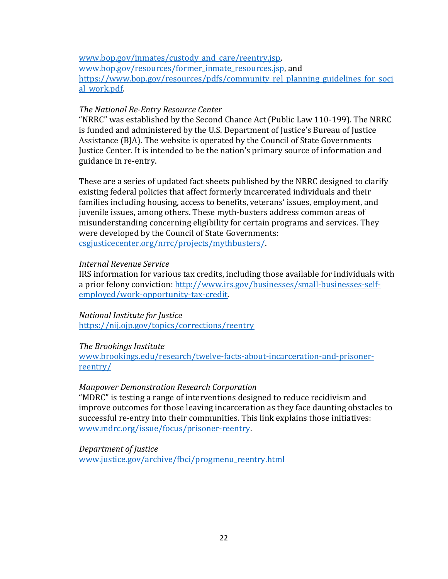[www.bop.gov/inmates/custody\\_and\\_care/reentry.jsp,](http://www.bop.gov/inmates/custody_and_care/reentry.jsp) [www.bop.gov/resources/former\\_inmate\\_resources.jsp,](http://www.bop.gov/resources/former_inmate_resources.jsp) and https://www.bop.gov/resources/pdfs/community rel\_planning\_guidelines\_for\_soci al work.pdf.

#### *The National Re-Entry Resource Center*

"NRRC" was established by the Second Chance Act (Public Law 110-199). The NRRC is funded and administered by the U.S. Department of Justice's Bureau of Justice Assistance (BJA). The website is operated by the Council of State Governments Justice Center. It is intended to be the nation's primary source of information and guidance in re-entry.

These are a series of updated fact sheets published by the NRRC designed to clarify existing federal policies that affect formerly incarcerated individuals and their families including housing, access to benefits, veterans' issues, employment, and juvenile issues, among others. These myth-busters address common areas of misunderstanding concerning eligibility for certain programs and services. They were developed by the Council of State Governments: [csgjusticecenter.org/nrrc/projects/mythbusters/.](https://csgjusticecenter.org/nrrc/projects/mythbusters/)

#### *Internal Revenue Service*

IRS information for various tax credits, including those available for individuals with a prior felony conviction: [http://www.irs.gov/businesses/small-businesses-self](http://www.irs.gov/businesses/small-businesses-self-employed/work-opportunity-tax-credit)[employed/work-opportunity-tax-credit.](http://www.irs.gov/businesses/small-businesses-self-employed/work-opportunity-tax-credit)

#### *National Institute for Justice* <https://nij.ojp.gov/topics/corrections/reentry>

#### *The Brookings Institute*

[www.brookings.edu/research/twelve-facts-about-incarceration-and-prisoner](http://www.brookings.edu/research/twelve-facts-about-incarceration-and-prisoner-reentry/)[reentry/](http://www.brookings.edu/research/twelve-facts-about-incarceration-and-prisoner-reentry/)

#### *Manpower Demonstration Research Corporation*

"MDRC" is testing a range of interventions designed to reduce recidivism and improve outcomes for those leaving incarceration as they face daunting obstacles to successful re-entry into their communities. This link explains those initiatives: [www.mdrc.org/issue/focus/prisoner-reentry.](http://www.mdrc.org/issue/focus/prisoner-reentry)

#### *Department of Justice*

[www.justice.gov/archive/fbci/progmenu\\_reentry.html](http://www.justice.gov/archive/fbci/progmenu_reentry.html)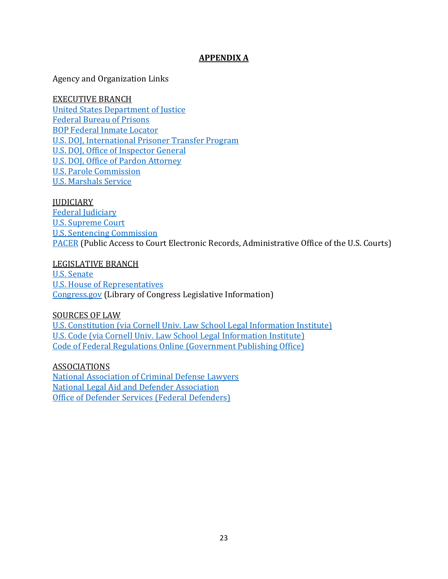# **APPENDIX A**

Agency and Organization Links

#### EXECUTIVE BRANCH

[United States Department of Justice](https://www.justice.gov/) [Federal Bureau of Prisons](https://www.bop.gov/) [BOP Federal Inmate Locator](https://www.bop.gov/inmateloc) U.S. DOJ, [International Prisoner Transfer Program](https://www.justice.gov/jm/jm-9-35000-international-prisoner-transfers) [U.S. DOJ, Office of Inspector General](https://oig.justice.gov/) [U.S. DOJ, Office of Pardon Attorney](https://www.justice.gov/pardon) [U.S. Parole Commission](https://www.justice.gov/uspc) [U.S. Marshals Service](https://www.usmarshals.gov/)

#### **JUDICIARY**

[Federal Judiciary](https://www.fjc.gov/) [U.S. Supreme Court](https://www.supremecourt.gov/) [U.S. Sentencing Commission](https://www.ussc.gov/) [PACER](https://pacer.uscourts.gov/) (Public Access to Court Electronic Records, Administrative Office of the U.S. Courts)

#### LEGISLATIVE BRANCH

[U.S. Senate](https://www.senate.gov/) [U.S. House of Representatives](https://www.house.gov/) [Congress.gov](https://www.congress.gov/) (Library of Congress Legislative Information)

#### SOURCES OF LAW

[U.S. Constitution \(via Cornell Univ. Law School](https://www.law.cornell.edu/constitution) Legal Information Institute) [U.S. Code \(via Cornell Univ. Law School](https://www.law.cornell.edu/usc) Legal Information Institute) [Code of Federal Regulations Online \(Government Publishing Office\)](http://www.ecfr.gov/)

# ASSOCIATIONS

[National Association of Criminal Defense Lawyers](https://www.nacdl.org/) National Legal [Aid and Defender Association](http://www.nlada.org/) [Office of Defender Services \(Federal Defenders\)](https://www.fd.org/)